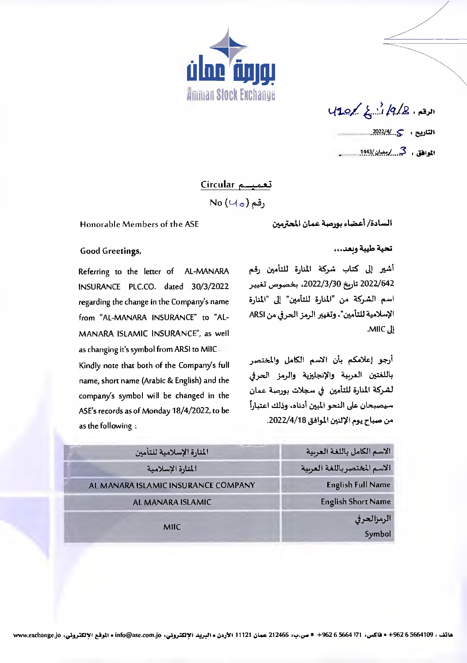

 $40/2$ 14/2, 14/4 

تعميسم Circular No  $(\cup_{\circ})$  , قم

Honorable Members of the ASE

السادة/ أعضاء بورصة عمان المحترمين

تحية طيبة وبعد...

أشير إلى كتاب شركة المنارة للتأمين رقم 2022/642 تاريخ 2022/3/30، بخصوص تغيير اسم الشركة من "المنارة للتأمين" إلى "المنارة الإسلامية للتأمين"، وتغيير الرمز الحرفي من ARSI .MIIC. II

أرجو إعلامكم بأن الاسم الكامل والمختصر باللغتين العربية والإنجليزية والرمز الحرفي لشركة المنارة للتأمين في سجلات بورصة عمان سيصبحان على النحو المين أدناه، وذلك اعتباراً من صباح يوم الإثنين الموافق 2022/4/18.

| المنارة الإسلامية للتأمين           | الاسم الكامل باللغة العربية  |
|-------------------------------------|------------------------------|
| المنارة الإسلامية                   | الاسم المختصر باللغة العربية |
| AL MANARA ISLAMIC INSURANCE COMPANY | <b>English Full Name</b>     |
| AL MANARA ISLAMIC                   | <b>English Short Name</b>    |
| <b>MIIC</b>                         | الرمزالحرفى                  |
|                                     | Symbol                       |

Good Greetings,

Referring to the letter of AL-MANARA INSURANCE PLC.CO. dated 30/3/2022 regarding the change in the Company's name from "AL-MANARA INSURANCE" to "AL-MANARA ISLAMIC INSURANCE", as well as changing it's symbol from ARSI to MIIC Kindly note that both of the Company's full

name, short name (Arabic & English) and the company's symbol will be changed in the ASE's records as of Monday 18/4/2022, to be as the following: